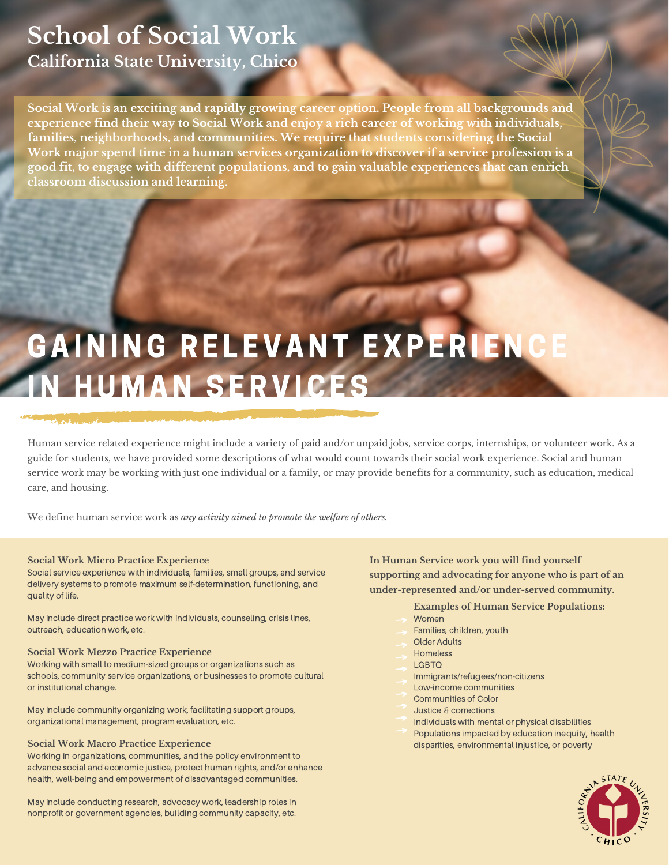## **School of Social Work California State University, Chico**

**Social Work is an exciting and rapidly growing career option. People from all backgrounds and experience find their way to Social Work and enjoy a rich career of working with individuals, families, neighborhoods, and communities. We require that students considering the Social Work major spend time in a human services organization to discover if a service profession is a good fit, to engage with different populations, and to gain valuable experiences that can enrich classroom discussion and learning.**

# GAINING RELEVANT EXPERIENC **N HUMAN SERVICES**

Human service related experience might include a variety of paid and/or unpaid jobs, service corps, internships, or volunteer work. As a guide for students, we have provided some descriptions of what would count towards their social work experience. Social and human service work may be working with just one individual or a family, or may provide benefits for a community, such as education, medical care, and housing.

We define human service work as *any activity aimed to promote the welfare of others.*

#### **Social Work Micro Practice Experience**

Social service experience with individuals, families, small groups, and service delivery systems to promote maximum self-determination, functioning, and quality of life.

May include direct practice work with individuals, counseling, crisis lines, outreach, education work, etc.

#### **Social Work Mezzo Practice Experience**

Working with small to medium-sized groups or organizations such as schools, community service organizations, or businesses to promote cultural or institutional change.

May include community organizing work, facilitating support groups, organizational management, program evaluation, etc.

#### **Social Work Macro Practice Experience**

Working in organizations, communities, and the policy environment to advance social and economic justice, protect human rights, and/or enhance health, well-being and empowerment of disadvantaged communities.

May include conducting research, advocacy work, leadership roles in nonprofit or government agencies, building community capacity, etc.

**In Human Service work you will find yourself supporting and advocating for anyone who is part of an under-represented and/or under-served community.**

#### **Examples of Human Service Populations:**

- Women
- Families, children, youth
- Older Adults
- **Homeless**
- LGBTQ
- Immigrants/refugees/non-citizens
- Low-income communities
- Communities of Color
- Justice & corrections
- Individuals with mental or physical disabilities
- Populations impacted by education inequity, health disparities, environmental injustice, or poverty